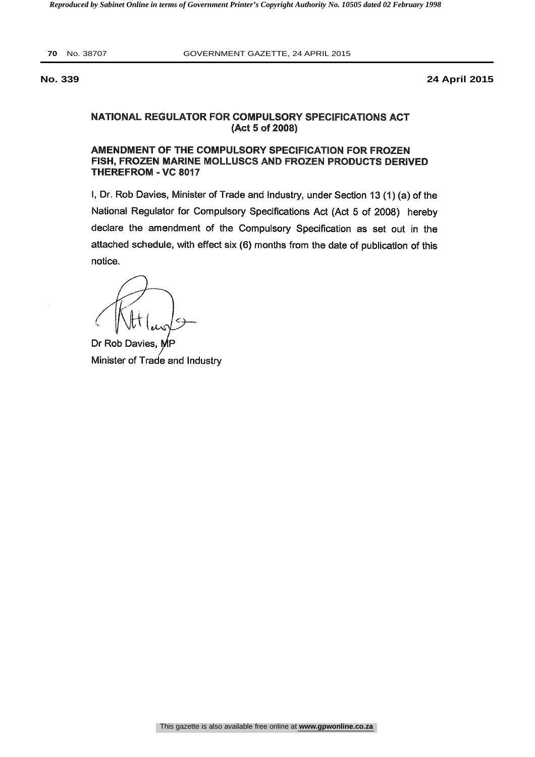**70** No. 38707 GOVERNMENT GAZETTE, 24 APRIL 2015

**No. 339 24 April 2015**

# NATIONAL REGULATOR FOR COMPULSORY SPECIFICATIONS ACT (Act 5 of 2008)

# AMENDMENT OF THE COMPULSORY SPECIFICATION FOR FROZEN FISH, FROZEN MARINE MOLLUSCS AND FROZEN PRODUCTS DERIVED THEREFROM - VC 8017

I, Dr. Rob Davies, Minister of Trade and Industry, under Section 13 (1) (a) of the National Regulator for Compulsory Specifications Act (Act 5 of 2008) hereby declare the amendment of the Compulsory Specification as set out in the attached schedule, with effect six (6) months from the date of publication of this notice.

Dr Rob Davies, N Minister of Trade and Industry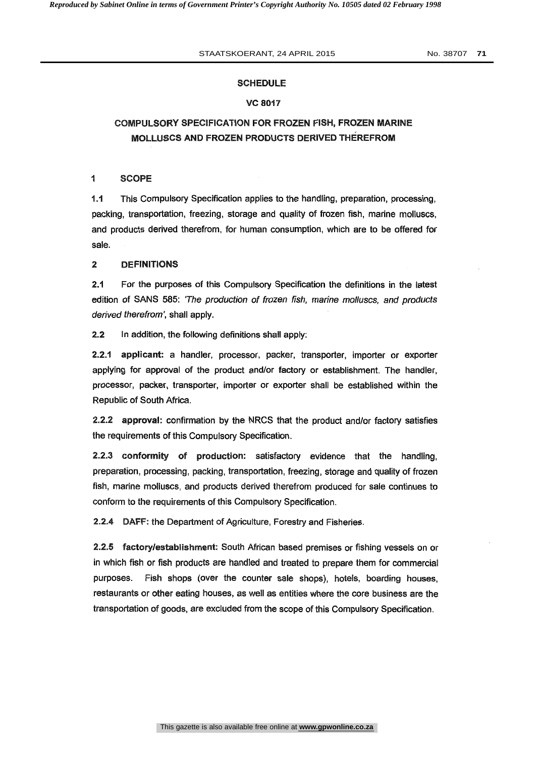#### SCHEDULE

#### VC 8017

# COMPULSORY SPECIFICATION FOR FROZEN FISH, FROZEN MARINE MOLLUSCS AND FROZEN PRODUCTS DERIVED THEREFROM

### <sup>1</sup> SCOPE

1.1 This Compulsory Specification applies to the handling, preparation, processing, packing, transportation, freezing, storage and quality of frozen fish, marine molluscs, and products derived therefrom, for human consumption, which are to be offered for sale.

#### 2 DEFINITIONS

2.1 For the purposes of this Compulsory Specification the definitions in the latest edition of SANS 585: 'The production of frozen fish, marine molluscs, and products derived therefrom', shall apply.

2,2 In addition, the following definitions shall apply:

2.2.1 applicant: a handler, processor, packer, transporter, importer or exporter applying for approval of the product and/or factory or establishment. The handler, processor, packer, transporter, importer or exporter shall be established within the Republic of South Africa.

2.2.2 approval: confirmation by the NRCS that the product and/or factory satisfies the requirements of this Compulsory Specification.

2.2.3 conformity of production: satisfactory evidence that the handling, preparation, processing, packing, transportation, freezing, storage and quality of frozen fish, marine molluscs, and products derived therefrom produced for sale continues to conform to the requirements of this Compulsory Specification.

2.2.4 DAFF: the Department of Agriculture, Forestry and Fisheries.

2.2.5 factory/establishment: South African based premises or fishing vessels on or in which fish or fish products are handled and treated to prepare them for commercial purposes. Fish shops (over the counter sale shops), hotels, boarding houses, restaurants or other eating houses, as well as entities where the core business are the transportation of goods, are excluded from the scope of this Compulsory Specification.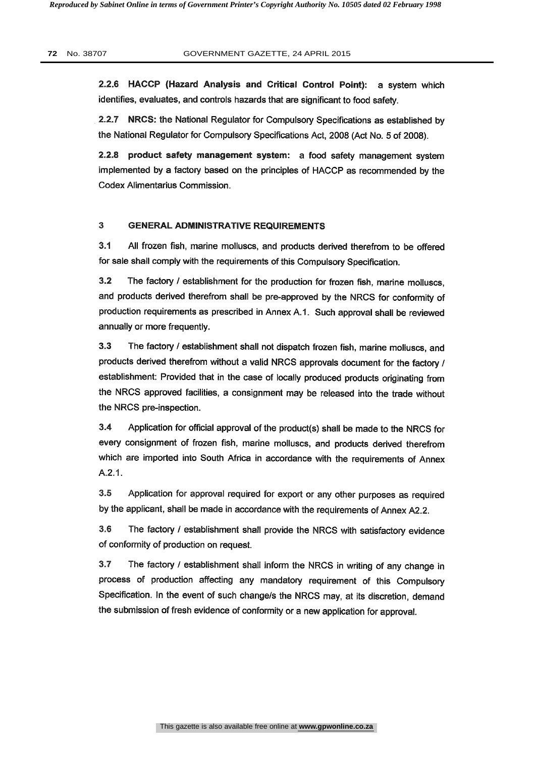2.2.6 HACCP (Hazard Analysis and Critical Control Point): a system which identifies, evaluates, and controls hazards that are significant to food safety.

2.2.7 NRCS: the National Regulator for Compulsory Specifications as established by the National Regulator for Compulsory Specifications Act, 2008 (Act No. 5 of 2008).

2.2.8 product safety management system: a food safety management system implemented by a factory based on the principles of HACCP as recommended by the Codex Alimentarius Commission.

# 3 GENERAL ADMINISTRATIVE REQUIREMENTS

3.1 All frozen fish, marine molluscs, and products derived therefrom to be offered for sale shall comply with the requirements of this Compulsory Specification.

3.2 The factory / establishment for the production for frozen fish, marine molluscs, and products derived therefrom shall be pre-approved by the NRCS for conformity of production requirements as prescribed in Annex A.1. Such approval shall be reviewed annually or more frequently.

3.3 The factory / establishment shall not dispatch frozen fish, marine molluscs, and products derived therefrom without a valid NRCS approvals document for the factory / establishment: Provided that in the case of locally produced products originating from the NRCS approved facilities, a consignment may be released into the trade without the NRCS pre-inspection.

3.4 Application for official approval of the product(s) shall be made to the NRCS for every consignment of frozen fish, marine molluscs, and products derived therefrom which are imported into South Africa in accordance with the requirements of Annex A.2.1.

3.5 Application for approval required for export or any other purposes as required by the applicant, shall be made in accordance with the requirements of Annex A2.2.

3.6 The factory / establishment shall provide the NRCS with satisfactory evidence of conformity of production on request.

3.7 The factory / establishment shall inform the NRCS in writing of any change in process of production affecting any mandatory requirement of this Compulsory Specification. In the event of such change/s the NRCS may, at its discretion, demand the submission of fresh evidence of conformity or a new application for approval.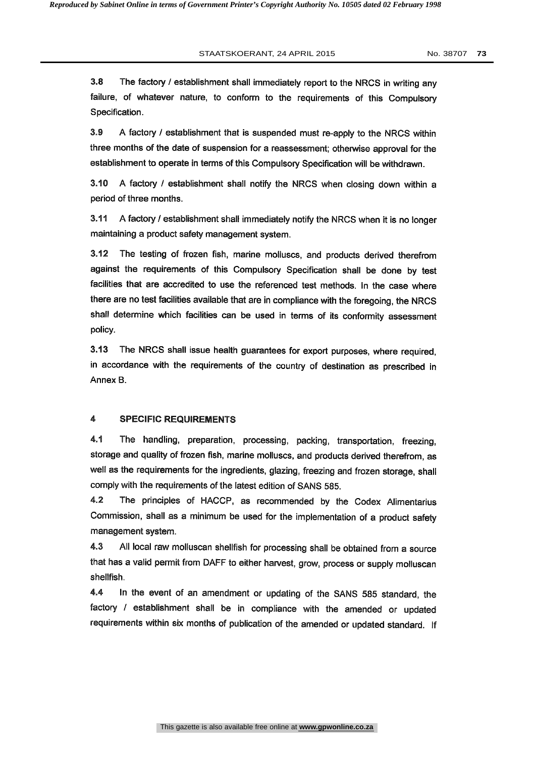3.8 The factory / establishment shall immediately report to the NRCS in writing any failure, of whatever nature, to conform to the requirements of this Compulsory Specification.

3.9 A factory / establishment that is suspended must re-apply to the NRCS within three months of the date of suspension for a reassessment; otherwise approval for the establishment to operate in terms of this Compulsory Specification will be withdrawn.

3.10 A factory / establishment shall notify the NRCS when closing down within a period of three months.

3.11 A factory / establishment shall immediately notify the NRCS when it is no longer maintaining a product safety management system.

3.12 The testing of frozen fish, marine molluscs, and products derived therefrom against the requirements of this Compulsory Specification shall be done by test facilities that are accredited to use the referenced test methods. In the case where there are no test facilities available that are in compliance with the foregoing, the NRCS shall determine which facilities can be used in terms of its conformity assessment policy.

3.13 The NRCS shall issue health guarantees for export purposes, where required, in accordance with the requirements of the country of destination as prescribed in Annex B.

#### 4 SPECIFIC REQUIREMENTS

4.1 The handling, preparation, processing, packing, transportation, freezing, storage and quality of frozen fish, marine molluscs, and products derived therefrom, as well as the requirements for the ingredients, glazing, freezing and frozen storage, shall comply with the requirements of the latest edition of SANS 585.

4.2 The principles of HACCP, as recommended by the Codex Alimentarius Commission, shall as a minimum be used for the implementation of a product safety management system.

4.3 All local raw molluscan shellfish for processing shall be obtained from a source that has a valid permit from DAFF to either harvest, grow, process or supply molluscan shellfish.

4.4 In the event of an amendment or updating of the SANS 585 standard, the factory / establishment shall be in compliance with the amended or updated requirements within six months of publication of the amended or updated standard. If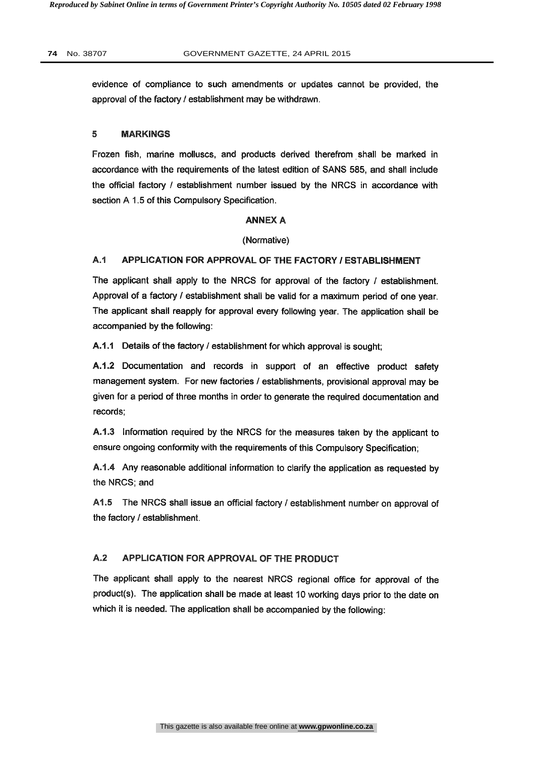evidence of compliance to such amendments or updates cannot be provided, the approval of the factory / establishment may be withdrawn.

#### 5 MARKINGS

Frozen fish, marine molluscs, and products derived therefrom shall be marked in accordance with the requirements of the latest edition of SANS 585, and shall include the official factory / establishment number issued by the NRCS in accordance with section A 1.5 of this Compulsory Specification.

#### ANNEX A

(Normative)

### A.1 APPLICATION FOR APPROVAL OF THE FACTORY / ESTABLISHMENT

The applicant shall apply to the NRCS for approval of the factory / establishment. Approval of a factory / establishment shall be valid for a maximum period of one year. The applicant shall reapply for approval every following year. The application shall be accompanied by the following:

A.1.1 Details of the factory / establishment for which approval is sought;

A.1.2 Documentation and records in support of an effective product safety management system. For new factories / establishments, provisional approval may be given for a period of three months in order to generate the required documentation and records;

A.1.3 Information required by the NRCS for the measures taken by the applicant to ensure ongoing conformity with the requirements of this Compulsory Specification;

A.1.4 Any reasonable additional information to clarify the application as requested by the NRCS; and

A1.5 The NRCS shall issue an official factory / establishment number on approval of the factory / establishment.

# A.2 APPLICATION FOR APPROVAL OF THE PRODUCT

The applicant shall apply to the nearest NRCS regional office for approval of the product(s). The application shall be made at least 10 working days prior to the date on which it is needed. The application shall be accompanied by the following: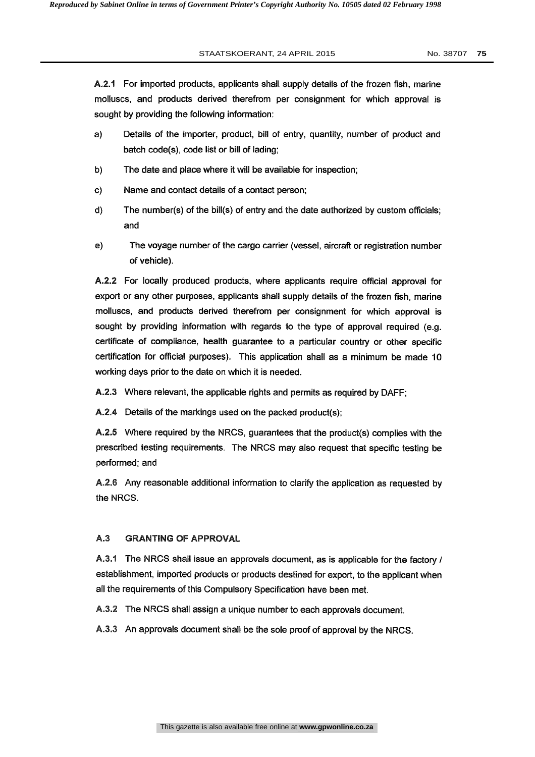A.2.1 For imported products, applicants shall supply details of the frozen fish, marine molluscs, and products derived therefrom per consignment for which approval is sought by providing the following information:

- a) Details of the importer, product, bill of entry, quantity, number of product and batch code(s), code list or bill of lading;
- b) The date and place where it will be available for inspection;
- c) Name and contact details of a contact person;
- d) The number(s) of the bill(s) of entry and the date authorized by custom officials; and
- e) The voyage number of the cargo carrier (vessel, aircraft or registration number of vehicle).

A.2.2 For locally produced products, where applicants require official approval for export or any other purposes, applicants shall supply details of the frozen fish, marine molluscs, and products derived therefrom per consignment for which approval is sought by providing information with regards to the type of approval required (e.g. certificate of compliance, health guarantee to a particular country or other specific certification for official purposes). This application shall as a minimum be made 10 working days prior to the date on which it is needed.

A.2.3 Where relevant, the applicable rights and permits as required by DAFF;

A.2.4 Details of the markings used on the packed product(s);

A.2.5 Where required by the NRCS, guarantees that the product(s) complies with the prescribed testing requirements. The NRCS may also request that specific testing be performed; and

A.2.6 Any reasonable additional information to clarify the application as requested by the NRCS.

### A.3 GRANTING OF APPROVAL

A.3.1 The NRCS shall issue an approvals document, as is applicable for the factory / establishment, imported products or products destined for export, to the applicant when all the requirements of this Compulsory Specification have been met.

A.3.2 The NRCS shall assign a unique number to each approvals document.

A.3.3 An approvals document shall be the sole proof of approval by the NRCS.